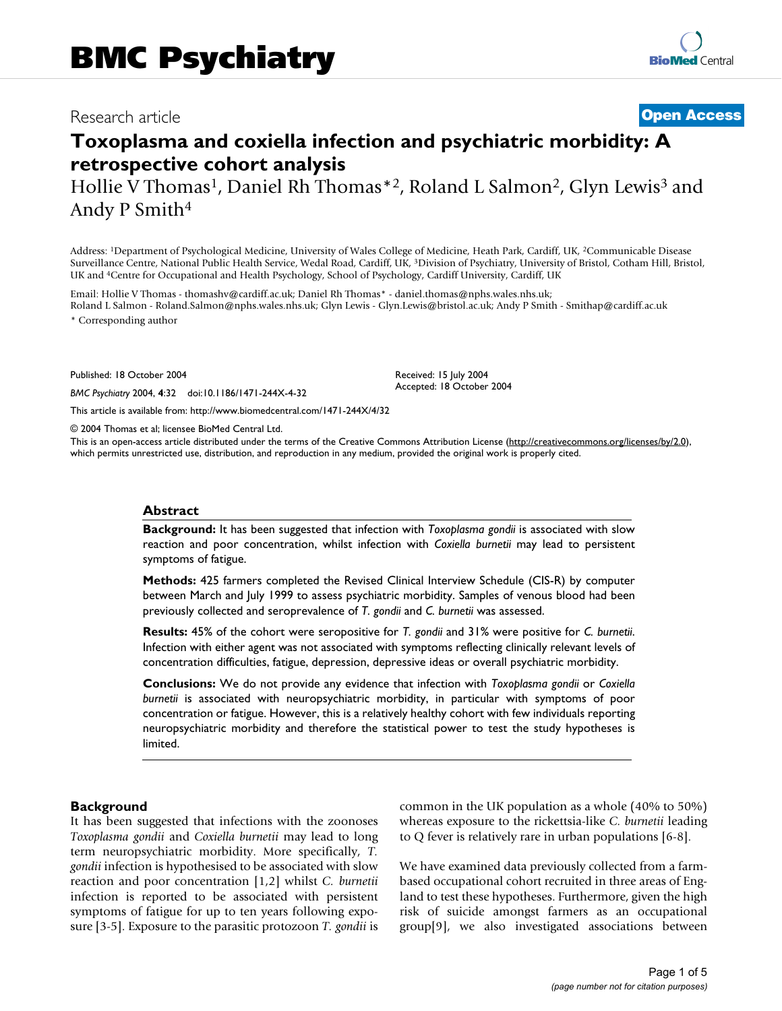# Research article **[Open Access](http://www.biomedcentral.com/info/about/charter/)**

# **Toxoplasma and coxiella infection and psychiatric morbidity: A retrospective cohort analysis**

Hollie V Thomas<sup>1</sup>, Daniel Rh Thomas<sup>\*2</sup>, Roland L Salmon<sup>2</sup>, Glyn Lewis<sup>3</sup> and Andy P Smith4

Address: 1Department of Psychological Medicine, University of Wales College of Medicine, Heath Park, Cardiff, UK, 2Communicable Disease Surveillance Centre, National Public Health Service, Wedal Road, Cardiff, UK, 3Division of Psychiatry, University of Bristol, Cotham Hill, Bristol, UK and 4Centre for Occupational and Health Psychology, School of Psychology, Cardiff University, Cardiff, UK

Email: Hollie V Thomas - thomashv@cardiff.ac.uk; Daniel Rh Thomas\* - daniel.thomas@nphs.wales.nhs.uk; Roland L Salmon - Roland.Salmon@nphs.wales.nhs.uk; Glyn Lewis - Glyn.Lewis@bristol.ac.uk; Andy P Smith - Smithap@cardiff.ac.uk

\* Corresponding author

Published: 18 October 2004

*BMC Psychiatry* 2004, **4**:32 doi:10.1186/1471-244X-4-32

[This article is available from: http://www.biomedcentral.com/1471-244X/4/32](http://www.biomedcentral.com/1471-244X/4/32)

© 2004 Thomas et al; licensee BioMed Central Ltd.

This is an open-access article distributed under the terms of the Creative Commons Attribution License (<http://creativecommons.org/licenses/by/2.0>), which permits unrestricted use, distribution, and reproduction in any medium, provided the original work is properly cited.

Received: 15 July 2004 Accepted: 18 October 2004

#### **Abstract**

**Background:** It has been suggested that infection with *Toxoplasma gondii* is associated with slow reaction and poor concentration, whilst infection with *Coxiella burnetii* may lead to persistent symptoms of fatigue.

**Methods:** 425 farmers completed the Revised Clinical Interview Schedule (CIS-R) by computer between March and July 1999 to assess psychiatric morbidity. Samples of venous blood had been previously collected and seroprevalence of *T. gondii* and *C. burnetii* was assessed.

**Results:** 45% of the cohort were seropositive for *T. gondii* and 31% were positive for *C. burnetii*. Infection with either agent was not associated with symptoms reflecting clinically relevant levels of concentration difficulties, fatigue, depression, depressive ideas or overall psychiatric morbidity.

**Conclusions:** We do not provide any evidence that infection with *Toxoplasma gondii* or *Coxiella burnetii* is associated with neuropsychiatric morbidity, in particular with symptoms of poor concentration or fatigue. However, this is a relatively healthy cohort with few individuals reporting neuropsychiatric morbidity and therefore the statistical power to test the study hypotheses is limited.

#### **Background**

It has been suggested that infections with the zoonoses *Toxoplasma gondii* and *Coxiella burnetii* may lead to long term neuropsychiatric morbidity. More specifically, *T. gondii* infection is hypothesised to be associated with slow reaction and poor concentration [1,2] whilst *C. burnetii* infection is reported to be associated with persistent symptoms of fatigue for up to ten years following exposure [3-5]. Exposure to the parasitic protozoon *T. gondii* is common in the UK population as a whole (40% to 50%) whereas exposure to the rickettsia-like *C. burnetii* leading to Q fever is relatively rare in urban populations [6-8].

We have examined data previously collected from a farmbased occupational cohort recruited in three areas of England to test these hypotheses. Furthermore, given the high risk of suicide amongst farmers as an occupational group[9], we also investigated associations between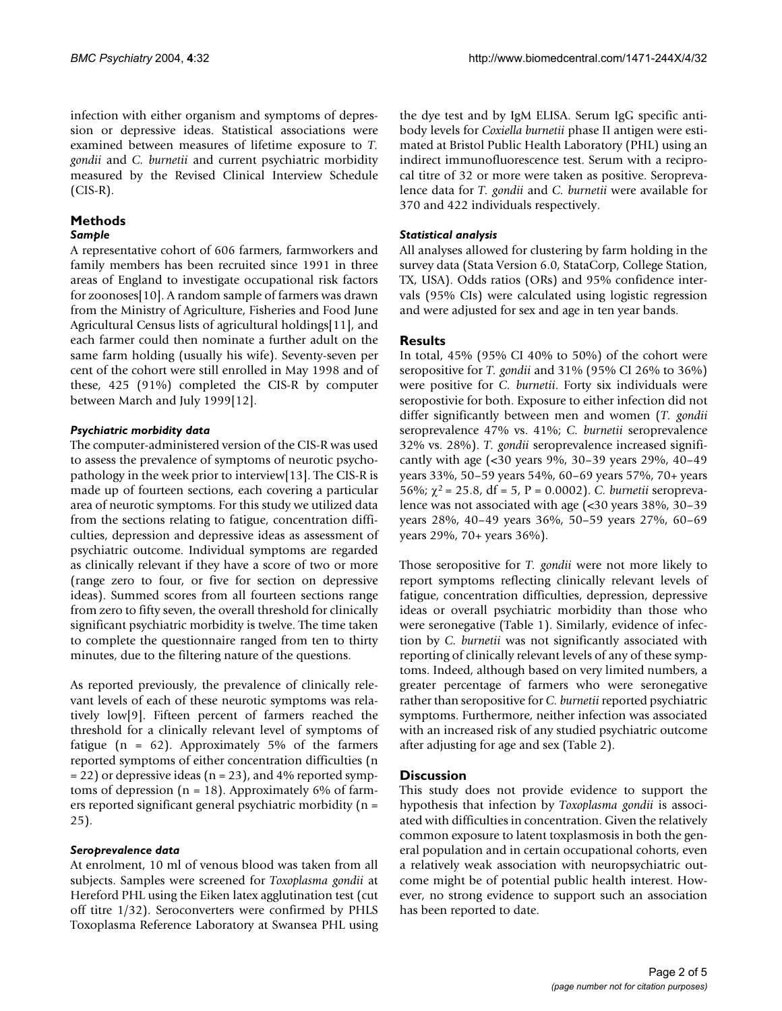infection with either organism and symptoms of depression or depressive ideas. Statistical associations were examined between measures of lifetime exposure to *T. gondii* and *C. burnetii* and current psychiatric morbidity measured by the Revised Clinical Interview Schedule (CIS-R).

# **Methods**

#### *Sample*

A representative cohort of 606 farmers, farmworkers and family members has been recruited since 1991 in three areas of England to investigate occupational risk factors for zoonoses[10]. A random sample of farmers was drawn from the Ministry of Agriculture, Fisheries and Food June Agricultural Census lists of agricultural holdings[11], and each farmer could then nominate a further adult on the same farm holding (usually his wife). Seventy-seven per cent of the cohort were still enrolled in May 1998 and of these, 425 (91%) completed the CIS-R by computer between March and July 1999[12].

### *Psychiatric morbidity data*

The computer-administered version of the CIS-R was used to assess the prevalence of symptoms of neurotic psychopathology in the week prior to interview[13]. The CIS-R is made up of fourteen sections, each covering a particular area of neurotic symptoms. For this study we utilized data from the sections relating to fatigue, concentration difficulties, depression and depressive ideas as assessment of psychiatric outcome. Individual symptoms are regarded as clinically relevant if they have a score of two or more (range zero to four, or five for section on depressive ideas). Summed scores from all fourteen sections range from zero to fifty seven, the overall threshold for clinically significant psychiatric morbidity is twelve. The time taken to complete the questionnaire ranged from ten to thirty minutes, due to the filtering nature of the questions.

As reported previously, the prevalence of clinically relevant levels of each of these neurotic symptoms was relatively low[9]. Fifteen percent of farmers reached the threshold for a clinically relevant level of symptoms of fatigue (n = 62). Approximately 5% of the farmers reported symptoms of either concentration difficulties (n  $= 22$ ) or depressive ideas (n  $= 23$ ), and 4% reported symptoms of depression ( $n = 18$ ). Approximately 6% of farmers reported significant general psychiatric morbidity (n = 25).

### *Seroprevalence data*

At enrolment, 10 ml of venous blood was taken from all subjects. Samples were screened for *Toxoplasma gondii* at Hereford PHL using the Eiken latex agglutination test (cut off titre 1/32). Seroconverters were confirmed by PHLS Toxoplasma Reference Laboratory at Swansea PHL using the dye test and by IgM ELISA. Serum IgG specific antibody levels for *Coxiella burnetii* phase II antigen were estimated at Bristol Public Health Laboratory (PHL) using an indirect immunofluorescence test. Serum with a reciprocal titre of 32 or more were taken as positive. Seroprevalence data for *T. gondii* and *C. burnetii* were available for 370 and 422 individuals respectively.

## *Statistical analysis*

All analyses allowed for clustering by farm holding in the survey data (Stata Version 6.0, StataCorp, College Station, TX, USA). Odds ratios (ORs) and 95% confidence intervals (95% CIs) were calculated using logistic regression and were adjusted for sex and age in ten year bands.

# **Results**

In total, 45% (95% CI 40% to 50%) of the cohort were seropositive for *T. gondii* and 31% (95% CI 26% to 36%) were positive for *C. burnetii*. Forty six individuals were seropostivie for both. Exposure to either infection did not differ significantly between men and women (*T. gondii* seroprevalence 47% vs. 41%; *C. burnetii* seroprevalence 32% vs. 28%). *T. gondii* seroprevalence increased significantly with age (<30 years 9%, 30–39 years 29%, 40–49 years 33%, 50–59 years 54%, 60–69 years 57%, 70+ years 56%; χ2 = 25.8, df = 5, P = 0.0002). *C. burnetii* seroprevalence was not associated with age (<30 years 38%, 30–39 years 28%, 40–49 years 36%, 50–59 years 27%, 60–69 years 29%, 70+ years 36%).

Those seropositive for *T. gondii* were not more likely to report symptoms reflecting clinically relevant levels of fatigue, concentration difficulties, depression, depressive ideas or overall psychiatric morbidity than those who were seronegative (Table [1](#page-2-0)). Similarly, evidence of infection by *C. burnetii* was not significantly associated with reporting of clinically relevant levels of any of these symptoms. Indeed, although based on very limited numbers, a greater percentage of farmers who were seronegative rather than seropositive for *C. burnetii* reported psychiatric symptoms. Furthermore, neither infection was associated with an increased risk of any studied psychiatric outcome after adjusting for age and sex (Table [2](#page-2-1)).

### **Discussion**

This study does not provide evidence to support the hypothesis that infection by *Toxoplasma gondii* is associated with difficulties in concentration. Given the relatively common exposure to latent toxplasmosis in both the general population and in certain occupational cohorts, even a relatively weak association with neuropsychiatric outcome might be of potential public health interest. However, no strong evidence to support such an association has been reported to date.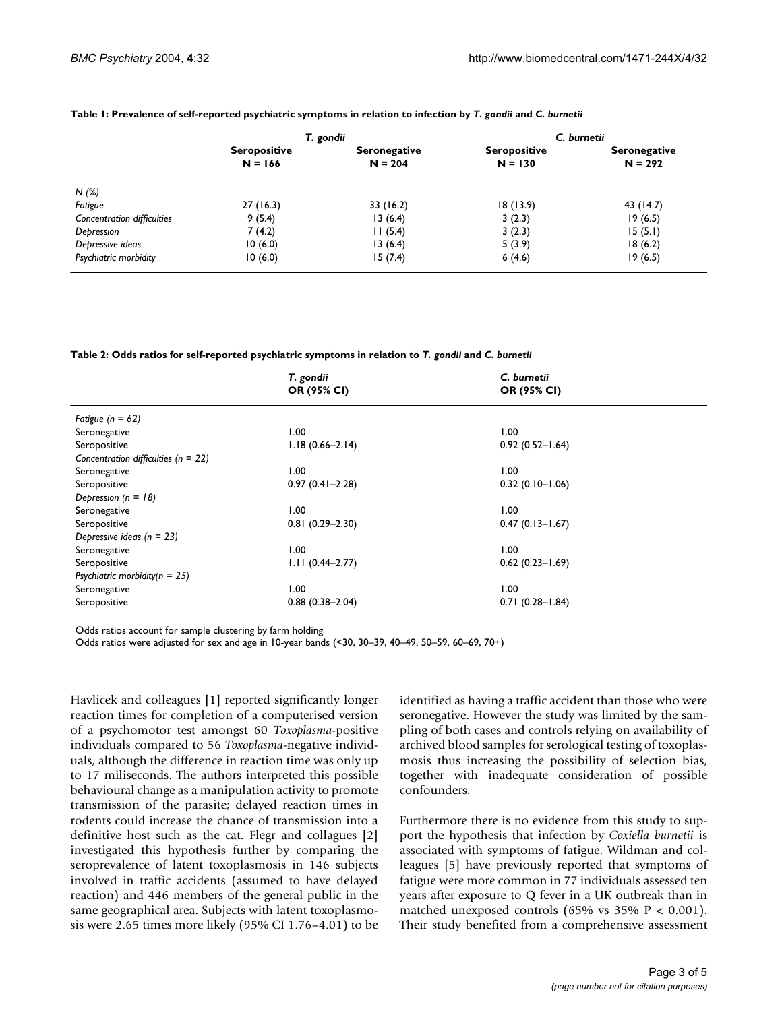|                            | T. gondii                        |                                  | C. burnetii                      |                                  |
|----------------------------|----------------------------------|----------------------------------|----------------------------------|----------------------------------|
|                            | <b>Seropositive</b><br>$N = 166$ | <b>Seronegative</b><br>$N = 204$ | <b>Seropositive</b><br>$N = 130$ | <b>Seronegative</b><br>$N = 292$ |
| N(%)                       |                                  |                                  |                                  |                                  |
| Fatigue                    | 27(16.3)                         | 33 (16.2)                        | 18(13.9)                         | 43 (14.7)                        |
| Concentration difficulties | 9(5.4)                           | 13(6.4)                          | 3(2.3)                           | 19(6.5)                          |
| Depression                 | 7(4.2)                           | 11(5.4)                          | 3(2.3)                           | 15(5.1)                          |
| Depressive ideas           | 10(6.0)                          | 13(6.4)                          | 5(3.9)                           | 18(6.2)                          |
| Psychiatric morbidity      | 10(6.0)                          | 15(7.4)                          | 6(4.6)                           | 19(6.5)                          |

#### <span id="page-2-0"></span>**Table 1: Prevalence of self-reported psychiatric symptoms in relation to infection by** *T. gondii* **and** *C. burnetii*

<span id="page-2-1"></span>**Table 2: Odds ratios for self-reported psychiatric symptoms in relation to** *T. gondii* **and** *C. burnetii*

|                                         | T. gondii<br>OR (95% CI) | C. burnetii<br>OR (95% CI) |
|-----------------------------------------|--------------------------|----------------------------|
|                                         |                          |                            |
| Fatigue ( $n = 62$ )                    |                          |                            |
| Seronegative                            | 00.1                     | 00.1                       |
| Seropositive                            | $1.18(0.66 - 2.14)$      | $0.92(0.52 - 1.64)$        |
| Concentration difficulties ( $n = 22$ ) |                          |                            |
| Seronegative                            | 1.00                     | 00.1                       |
| Seropositive                            | $0.97(0.41 - 2.28)$      | $0.32(0.10 - 1.06)$        |
| Depression ( $n = 18$ )                 |                          |                            |
| Seronegative                            | 1.00                     | 1.00                       |
| Seropositive                            | $0.81(0.29 - 2.30)$      | $0.47(0.13 - 1.67)$        |
| Depressive ideas ( $n = 23$ )           |                          |                            |
| Seronegative                            | 00.1                     | 1.00                       |
| Seropositive                            | $1.11(0.44 - 2.77)$      | $0.62(0.23 - 1.69)$        |
| Psychiatric morbidity $(n = 25)$        |                          |                            |
| Seronegative                            | 1.00                     | 1.00                       |
| Seropositive                            | $0.88(0.38 - 2.04)$      | $0.71(0.28 - 1.84)$        |

Odds ratios account for sample clustering by farm holding

Odds ratios were adjusted for sex and age in 10-year bands (<30, 30–39, 40–49, 50–59, 60–69, 70+)

Havlicek and colleagues [1] reported significantly longer reaction times for completion of a computerised version of a psychomotor test amongst 60 *Toxoplasma*-positive individuals compared to 56 *Toxoplasma*-negative individuals, although the difference in reaction time was only up to 17 miliseconds. The authors interpreted this possible behavioural change as a manipulation activity to promote transmission of the parasite; delayed reaction times in rodents could increase the chance of transmission into a definitive host such as the cat. Flegr and collagues [2] investigated this hypothesis further by comparing the seroprevalence of latent toxoplasmosis in 146 subjects involved in traffic accidents (assumed to have delayed reaction) and 446 members of the general public in the same geographical area. Subjects with latent toxoplasmosis were 2.65 times more likely (95% CI 1.76–4.01) to be identified as having a traffic accident than those who were seronegative. However the study was limited by the sampling of both cases and controls relying on availability of archived blood samples for serological testing of toxoplasmosis thus increasing the possibility of selection bias, together with inadequate consideration of possible confounders.

Furthermore there is no evidence from this study to support the hypothesis that infection by *Coxiella burnetii* is associated with symptoms of fatigue. Wildman and colleagues [5] have previously reported that symptoms of fatigue were more common in 77 individuals assessed ten years after exposure to Q fever in a UK outbreak than in matched unexposed controls (65% vs 35%  $P < 0.001$ ). Their study benefited from a comprehensive assessment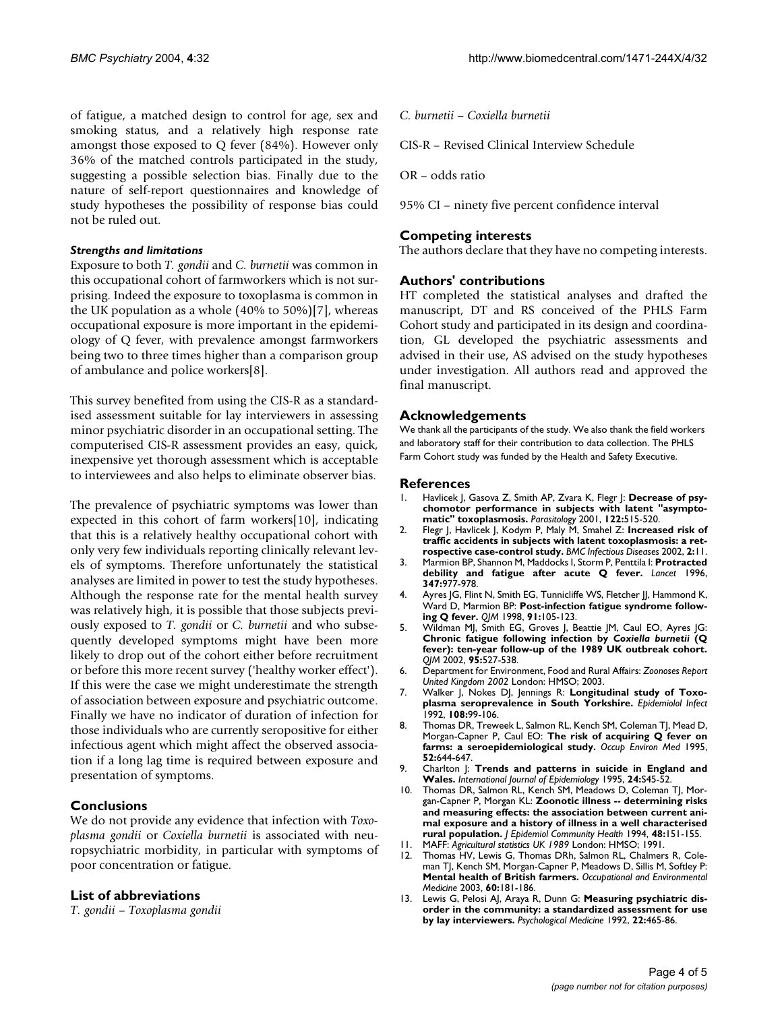of fatigue, a matched design to control for age, sex and smoking status, and a relatively high response rate amongst those exposed to Q fever (84%). However only 36% of the matched controls participated in the study, suggesting a possible selection bias. Finally due to the nature of self-report questionnaires and knowledge of study hypotheses the possibility of response bias could not be ruled out.

#### *Strengths and limitations*

Exposure to both *T. gondii* and *C. burnetii* was common in this occupational cohort of farmworkers which is not surprising. Indeed the exposure to toxoplasma is common in the UK population as a whole (40% to 50%)[7], whereas occupational exposure is more important in the epidemiology of Q fever, with prevalence amongst farmworkers being two to three times higher than a comparison group of ambulance and police workers[8].

This survey benefited from using the CIS-R as a standardised assessment suitable for lay interviewers in assessing minor psychiatric disorder in an occupational setting. The computerised CIS-R assessment provides an easy, quick, inexpensive yet thorough assessment which is acceptable to interviewees and also helps to eliminate observer bias.

The prevalence of psychiatric symptoms was lower than expected in this cohort of farm workers[10], indicating that this is a relatively healthy occupational cohort with only very few individuals reporting clinically relevant levels of symptoms. Therefore unfortunately the statistical analyses are limited in power to test the study hypotheses. Although the response rate for the mental health survey was relatively high, it is possible that those subjects previously exposed to *T. gondii* or *C. burnetii* and who subsequently developed symptoms might have been more likely to drop out of the cohort either before recruitment or before this more recent survey ('healthy worker effect'). If this were the case we might underestimate the strength of association between exposure and psychiatric outcome. Finally we have no indicator of duration of infection for those individuals who are currently seropositive for either infectious agent which might affect the observed association if a long lag time is required between exposure and presentation of symptoms.

#### **Conclusions**

We do not provide any evidence that infection with *Toxoplasma gondii* or *Coxiella burnetii* is associated with neuropsychiatric morbidity, in particular with symptoms of poor concentration or fatigue.

#### **List of abbreviations**

*T. gondii* – *Toxoplasma gondii*

*C. burnetii – Coxiella burnetii*

CIS-R – Revised Clinical Interview Schedule

OR – odds ratio

95% CI – ninety five percent confidence interval

#### **Competing interests**

The authors declare that they have no competing interests.

#### **Authors' contributions**

HT completed the statistical analyses and drafted the manuscript, DT and RS conceived of the PHLS Farm Cohort study and participated in its design and coordination, GL developed the psychiatric assessments and advised in their use, AS advised on the study hypotheses under investigation. All authors read and approved the final manuscript.

#### **Acknowledgements**

We thank all the participants of the study. We also thank the field workers and laboratory staff for their contribution to data collection. The PHLS Farm Cohort study was funded by the Health and Safety Executive.

#### **References**

- Havlicek J, Gasova Z, Smith AP, Zvara K, Flegr J: [Decrease of psy](http://www.ncbi.nlm.nih.gov/entrez/query.fcgi?cmd=Retrieve&db=PubMed&dopt=Abstract&list_uids=11393824)**[chomotor performance in subjects with latent "asympto](http://www.ncbi.nlm.nih.gov/entrez/query.fcgi?cmd=Retrieve&db=PubMed&dopt=Abstract&list_uids=11393824)[matic" toxoplasmosis.](http://www.ncbi.nlm.nih.gov/entrez/query.fcgi?cmd=Retrieve&db=PubMed&dopt=Abstract&list_uids=11393824)** *Parasitology* 2001, **122:**515-520.
- 2. Flegr J, Havlicek J, Kodym P, Maly M, Smahel Z: **[Increased risk of](http://www.ncbi.nlm.nih.gov/entrez/query.fcgi?cmd=Retrieve&db=PubMed&dopt=Abstract&list_uids=12095427) [traffic accidents in subjects with latent toxoplasmosis: a ret](http://www.ncbi.nlm.nih.gov/entrez/query.fcgi?cmd=Retrieve&db=PubMed&dopt=Abstract&list_uids=12095427)[rospective case-control study.](http://www.ncbi.nlm.nih.gov/entrez/query.fcgi?cmd=Retrieve&db=PubMed&dopt=Abstract&list_uids=12095427)** *BMC Infectious Diseases* 2002, **2:**11.
- 3. Marmion BP, Shannon M, Maddocks I, Storm P, Penttila I: **[Protracted](http://www.ncbi.nlm.nih.gov/entrez/query.fcgi?cmd=Retrieve&db=PubMed&dopt=Abstract&list_uids=8598796) [debility and fatigue after acute Q fever.](http://www.ncbi.nlm.nih.gov/entrez/query.fcgi?cmd=Retrieve&db=PubMed&dopt=Abstract&list_uids=8598796)** *Lancet* 1996, **347:**977-978.
- 4. Ayres JG, Flint N, Smith EG, Tunnicliffe WS, Fletcher JJ, Hammond K, Ward D, Marmion BP: **[Post-infection fatigue syndrome follow](http://www.ncbi.nlm.nih.gov/entrez/query.fcgi?cmd=Retrieve&db=PubMed&dopt=Abstract&list_uids=9578893)[ing Q fever.](http://www.ncbi.nlm.nih.gov/entrez/query.fcgi?cmd=Retrieve&db=PubMed&dopt=Abstract&list_uids=9578893)** *QJM* 1998, **91:**105-123.
- 5. Wildman MJ, Smith EG, Groves J, Beattie JM, Caul EO, Ayres JG: **Chronic fatigue following infection by** *Coxiella burnetii* **[\(Q](http://www.ncbi.nlm.nih.gov/entrez/query.fcgi?cmd=Retrieve&db=PubMed&dopt=Abstract&list_uids=12145392) [fever\): ten-year follow-up of the 1989 UK outbreak cohort.](http://www.ncbi.nlm.nih.gov/entrez/query.fcgi?cmd=Retrieve&db=PubMed&dopt=Abstract&list_uids=12145392)** *QJM* 2002, **95:**527-538.
- 6. Department for Environment, Food and Rural Affairs: *Zoonoses Report United Kingdom 2002* London: HMSO; 2003.
- 7. Walker J, Nokes DJ, Jennings R: **Longitudinal study of Toxoplasma seroprevalence in South Yorkshire.** *Epidemiolol Infect* 1992, **108:**99-106.
- 8. Thomas DR, Treweek L, Salmon RL, Kench SM, Coleman TJ, Mead D, Morgan-Capner P, Caul EO: **[The risk of acquiring Q fever on](http://www.ncbi.nlm.nih.gov/entrez/query.fcgi?cmd=Retrieve&db=PubMed&dopt=Abstract&list_uids=7489053) [farms: a seroepidemiological study.](http://www.ncbi.nlm.nih.gov/entrez/query.fcgi?cmd=Retrieve&db=PubMed&dopt=Abstract&list_uids=7489053)** *Occup Environ Med* 1995, **52:**644-647.
- 9. Charlton J: **[Trends and patterns in suicide in England and](http://www.ncbi.nlm.nih.gov/entrez/query.fcgi?cmd=Retrieve&db=PubMed&dopt=Abstract&list_uids=7558551) [Wales.](http://www.ncbi.nlm.nih.gov/entrez/query.fcgi?cmd=Retrieve&db=PubMed&dopt=Abstract&list_uids=7558551)** *International Journal of Epidemiology* 1995, **24:**S45-52.
- 10. Thomas DR, Salmon RL, Kench SM, Meadows D, Coleman TJ, Morgan-Capner P, Morgan KL: **[Zoonotic illness -- determining risks](http://www.ncbi.nlm.nih.gov/entrez/query.fcgi?cmd=Retrieve&db=PubMed&dopt=Abstract&list_uids=8189169) and measuring effects: the association between current ani[mal exposure and a history of illness in a well characterised](http://www.ncbi.nlm.nih.gov/entrez/query.fcgi?cmd=Retrieve&db=PubMed&dopt=Abstract&list_uids=8189169) [rural population.](http://www.ncbi.nlm.nih.gov/entrez/query.fcgi?cmd=Retrieve&db=PubMed&dopt=Abstract&list_uids=8189169)** *J Epidemiol Community Health* 1994, **48:**151-155.
- 11. MAFF: *Agricultural statistics UK 1989* London: HMSO; 1991.
- 12. Thomas HV, Lewis G, Thomas DRh, Salmon RL, Chalmers R, Coleman TJ, Kench SM, Morgan-Capner P, Meadows D, Sillis M, Softley P: **[Mental health of British farmers.](http://www.ncbi.nlm.nih.gov/entrez/query.fcgi?cmd=Retrieve&db=PubMed&dopt=Abstract&list_uids=12598664)** *Occupational and Environmental Medicine* 2003, **60:**181-186.
- 13. Lewis G, Pelosi AJ, Araya R, Dunn G: **[Measuring psychiatric dis](http://www.ncbi.nlm.nih.gov/entrez/query.fcgi?cmd=Retrieve&db=PubMed&dopt=Abstract&list_uids=1615114)[order in the community: a standardized assessment for use](http://www.ncbi.nlm.nih.gov/entrez/query.fcgi?cmd=Retrieve&db=PubMed&dopt=Abstract&list_uids=1615114) [by lay interviewers.](http://www.ncbi.nlm.nih.gov/entrez/query.fcgi?cmd=Retrieve&db=PubMed&dopt=Abstract&list_uids=1615114)** *Psychological Medicine* 1992, **22:**465-86.